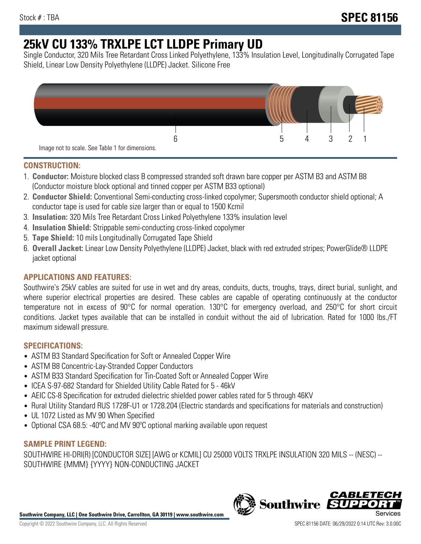# **25kV CU 133% TRXLPE LCT LLDPE Primary UD**

Single Conductor, 320 Mils Tree Retardant Cross Linked Polyethylene, 133% Insulation Level, Longitudinally Corrugated Tape Shield, Linear Low Density Polyethylene (LLDPE) Jacket. Silicone Free



## **CONSTRUCTION:**

- 1. **Conductor:** Moisture blocked class B compressed stranded soft drawn bare copper per ASTM B3 and ASTM B8 (Conductor moisture block optional and tinned copper per ASTM B33 optional)
- 2. **Conductor Shield:** Conventional Semi-conducting cross-linked copolymer; Supersmooth conductor shield optional; A conductor tape is used for cable size larger than or equal to 1500 Kcmil
- 3. **Insulation:** 320 Mils Tree Retardant Cross Linked Polyethylene 133% insulation level
- 4. **Insulation Shield:** Strippable semi-conducting cross-linked copolymer
- 5. **Tape Shield:** 10 mils Longitudinally Corrugated Tape Shield
- 6. **Overall Jacket:** Linear Low Density Polyethylene (LLDPE) Jacket, black with red extruded stripes; PowerGlide® LLDPE jacket optional

# **APPLICATIONS AND FEATURES:**

Southwire's 25kV cables are suited for use in wet and dry areas, conduits, ducts, troughs, trays, direct burial, sunlight, and where superior electrical properties are desired. These cables are capable of operating continuously at the conductor temperature not in excess of 90°C for normal operation. 130°C for emergency overload, and 250°C for short circuit conditions. Jacket types available that can be installed in conduit without the aid of lubrication. Rated for 1000 lbs./FT maximum sidewall pressure.

# **SPECIFICATIONS:**

- ASTM B3 Standard Specification for Soft or Annealed Copper Wire
- ASTM B8 Concentric-Lay-Stranded Copper Conductors
- ASTM B33 Standard Specification for Tin-Coated Soft or Annealed Copper Wire
- ICEA S-97-682 Standard for Shielded Utility Cable Rated for 5 46kV
- AEIC CS-8 Specification for extruded dielectric shielded power cables rated for 5 through 46KV
- Rural Utility Standard RUS 1728F-U1 or 1728.204 (Electric standards and specifications for materials and construction)
- UL 1072 Listed as MV 90 When Specified
- Optional CSA 68.5: -40ºC and MV 90ºC optional marking available upon request

## **SAMPLE PRINT LEGEND:**

SOUTHWIRE HI-DRI(R) [CONDUCTOR SIZE] [AWG or KCMIL] CU 25000 VOLTS TRXLPE INSULATION 320 MILS -- (NESC) -- SOUTHWIRE {MMM} {YYYY} NON-CONDUCTING JACKET

**Southwire Company, LLC | One Southwire Drive, Carrollton, GA 30119 | www.southwire.com**

*CABLE*